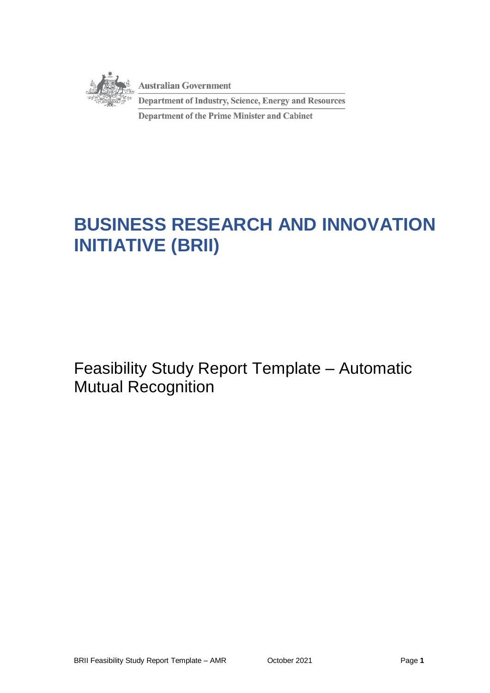

# **BUSINESS RESEARCH AND INNOVATION INITIATIVE (BRII)**

Feasibility Study Report Template – Automatic Mutual Recognition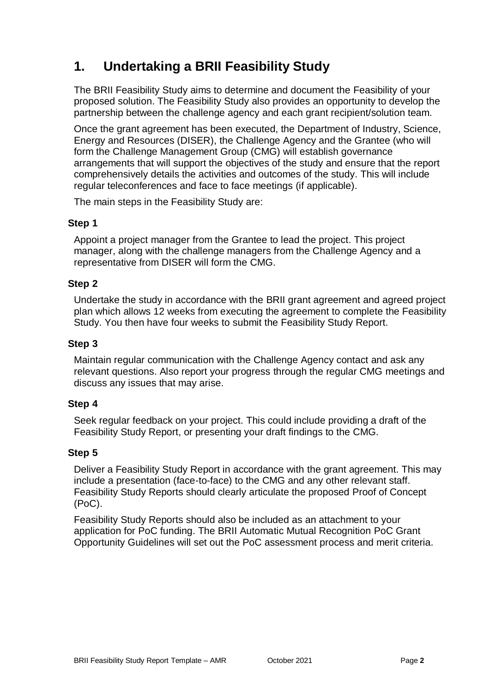# **1. Undertaking a BRII Feasibility Study**

The BRII Feasibility Study aims to determine and document the Feasibility of your proposed solution. The Feasibility Study also provides an opportunity to develop the partnership between the challenge agency and each grant recipient/solution team.

Once the grant agreement has been executed, the Department of Industry, Science, Energy and Resources (DISER), the Challenge Agency and the Grantee (who will form the Challenge Management Group (CMG) will establish governance arrangements that will support the objectives of the study and ensure that the report comprehensively details the activities and outcomes of the study. This will include regular teleconferences and face to face meetings (if applicable).

The main steps in the Feasibility Study are:

#### **Step 1**

Appoint a project manager from the Grantee to lead the project. This project manager, along with the challenge managers from the Challenge Agency and a representative from DISER will form the CMG.

# **Step 2**

Undertake the study in accordance with the BRII grant agreement and agreed project plan which allows 12 weeks from executing the agreement to complete the Feasibility Study. You then have four weeks to submit the Feasibility Study Report.

### **Step 3**

Maintain regular communication with the Challenge Agency contact and ask any relevant questions. Also report your progress through the regular CMG meetings and discuss any issues that may arise.

# **Step 4**

Seek regular feedback on your project. This could include providing a draft of the Feasibility Study Report, or presenting your draft findings to the CMG.

# **Step 5**

Deliver a Feasibility Study Report in accordance with the grant agreement. This may include a presentation (face-to-face) to the CMG and any other relevant staff. Feasibility Study Reports should clearly articulate the proposed Proof of Concept (PoC).

Feasibility Study Reports should also be included as an attachment to your application for PoC funding. The BRII Automatic Mutual Recognition PoC Grant Opportunity Guidelines will set out the PoC assessment process and merit criteria.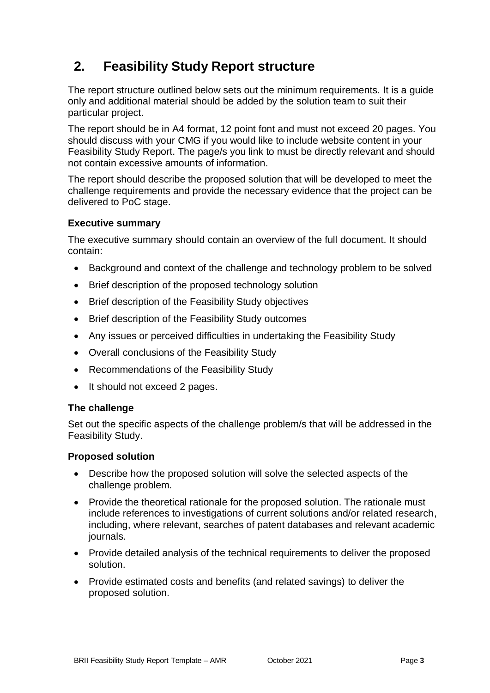# **2. Feasibility Study Report structure**

The report structure outlined below sets out the minimum requirements. It is a guide only and additional material should be added by the solution team to suit their particular project.

The report should be in A4 format, 12 point font and must not exceed 20 pages. You should discuss with your CMG if you would like to include website content in your Feasibility Study Report. The page/s you link to must be directly relevant and should not contain excessive amounts of information.

The report should describe the proposed solution that will be developed to meet the challenge requirements and provide the necessary evidence that the project can be delivered to PoC stage.

#### **Executive summary**

The executive summary should contain an overview of the full document. It should contain:

- Background and context of the challenge and technology problem to be solved
- Brief description of the proposed technology solution
- Brief description of the Feasibility Study objectives
- Brief description of the Feasibility Study outcomes
- Any issues or perceived difficulties in undertaking the Feasibility Study
- Overall conclusions of the Feasibility Study
- Recommendations of the Feasibility Study
- It should not exceed 2 pages.

#### **The challenge**

Set out the specific aspects of the challenge problem/s that will be addressed in the Feasibility Study.

#### **Proposed solution**

- Describe how the proposed solution will solve the selected aspects of the challenge problem.
- Provide the theoretical rationale for the proposed solution. The rationale must include references to investigations of current solutions and/or related research, including, where relevant, searches of patent databases and relevant academic journals.
- Provide detailed analysis of the technical requirements to deliver the proposed solution.
- Provide estimated costs and benefits (and related savings) to deliver the proposed solution.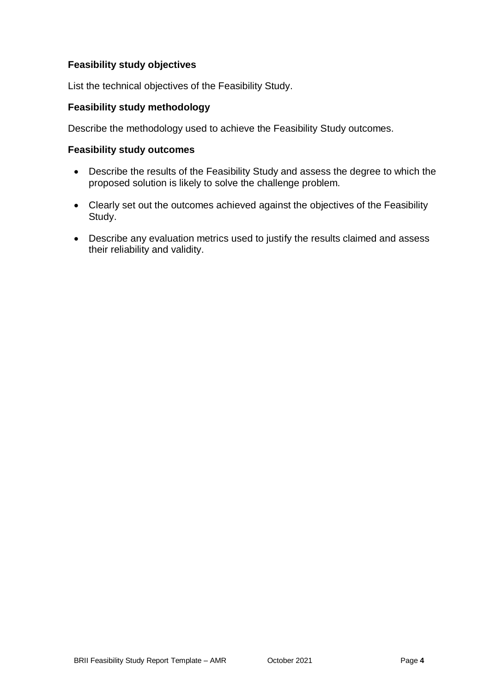# **Feasibility study objectives**

List the technical objectives of the Feasibility Study.

### **Feasibility study methodology**

Describe the methodology used to achieve the Feasibility Study outcomes.

#### **Feasibility study outcomes**

- Describe the results of the Feasibility Study and assess the degree to which the proposed solution is likely to solve the challenge problem.
- Clearly set out the outcomes achieved against the objectives of the Feasibility Study.
- Describe any evaluation metrics used to justify the results claimed and assess their reliability and validity.